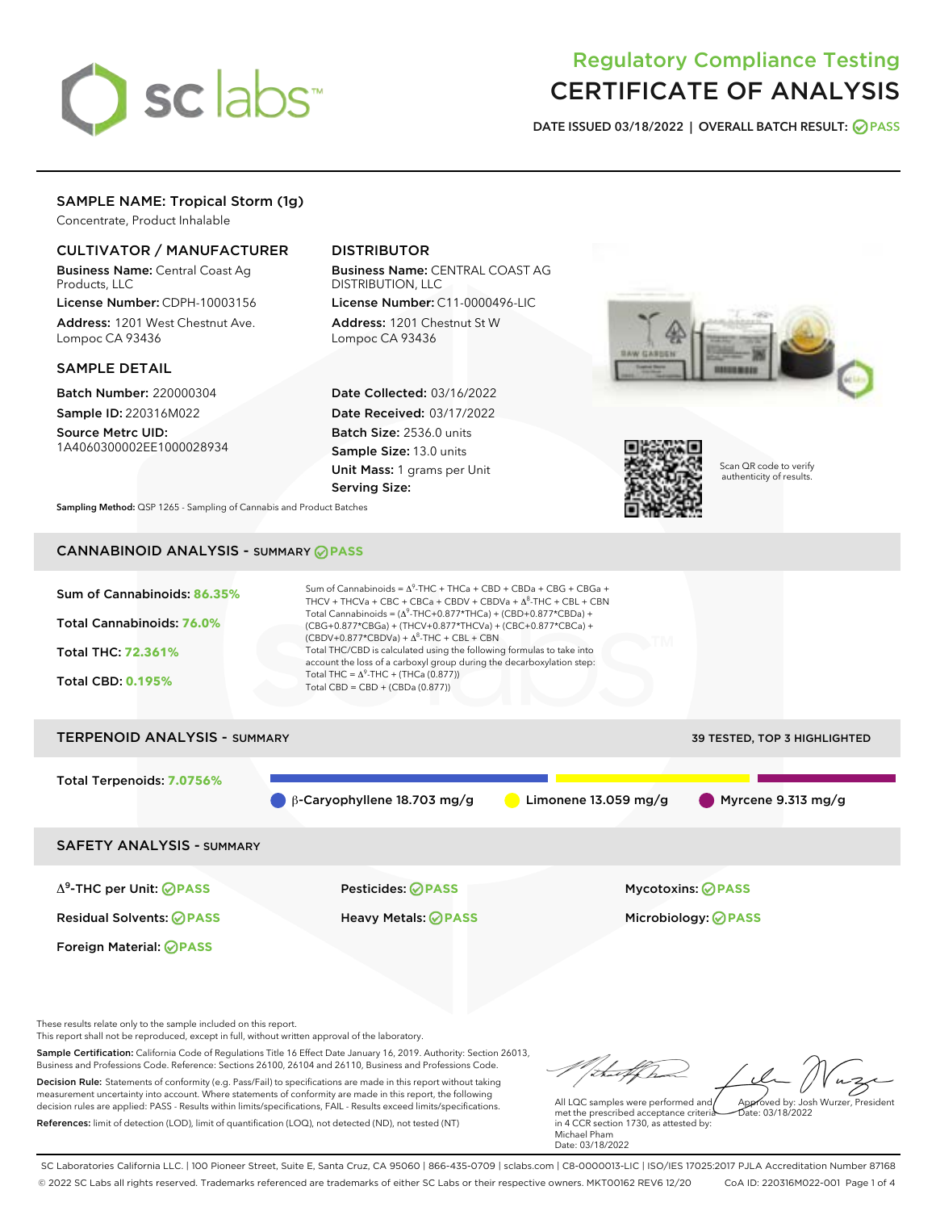# sclabs<sup>\*</sup>

# Regulatory Compliance Testing CERTIFICATE OF ANALYSIS

DATE ISSUED 03/18/2022 | OVERALL BATCH RESULT: @ PASS

# SAMPLE NAME: Tropical Storm (1g)

Concentrate, Product Inhalable

# CULTIVATOR / MANUFACTURER

Business Name: Central Coast Ag Products, LLC

License Number: CDPH-10003156 Address: 1201 West Chestnut Ave. Lompoc CA 93436

#### SAMPLE DETAIL

Batch Number: 220000304 Sample ID: 220316M022

Source Metrc UID: 1A4060300002EE1000028934

# DISTRIBUTOR

Business Name: CENTRAL COAST AG DISTRIBUTION, LLC

License Number: C11-0000496-LIC Address: 1201 Chestnut St W Lompoc CA 93436

Date Collected: 03/16/2022 Date Received: 03/17/2022 Batch Size: 2536.0 units Sample Size: 13.0 units Unit Mass: 1 grams per Unit Serving Size:





Scan QR code to verify authenticity of results.

Sampling Method: QSP 1265 - Sampling of Cannabis and Product Batches

# CANNABINOID ANALYSIS - SUMMARY **PASS**



Δ9-THC per Unit: **PASS** Pesticides: **PASS** Mycotoxins: **PASS**

Foreign Material: **PASS**

Residual Solvents: **PASS** Heavy Metals: **PASS** Microbiology: **PASS**

These results relate only to the sample included on this report.

This report shall not be reproduced, except in full, without written approval of the laboratory.

Sample Certification: California Code of Regulations Title 16 Effect Date January 16, 2019. Authority: Section 26013, Business and Professions Code. Reference: Sections 26100, 26104 and 26110, Business and Professions Code. Decision Rule: Statements of conformity (e.g. Pass/Fail) to specifications are made in this report without taking measurement uncertainty into account. Where statements of conformity are made in this report, the following

decision rules are applied: PASS - Results within limits/specifications, FAIL - Results exceed limits/specifications. References: limit of detection (LOD), limit of quantification (LOQ), not detected (ND), not tested (NT)

Approved by: Josh Wurzer, President

 $ate: 03/18/2022$ 

All LQC samples were performed and met the prescribed acceptance criteria in 4 CCR section 1730, as attested by: Michael Pham Date: 03/18/2022

SC Laboratories California LLC. | 100 Pioneer Street, Suite E, Santa Cruz, CA 95060 | 866-435-0709 | sclabs.com | C8-0000013-LIC | ISO/IES 17025:2017 PJLA Accreditation Number 87168 © 2022 SC Labs all rights reserved. Trademarks referenced are trademarks of either SC Labs or their respective owners. MKT00162 REV6 12/20 CoA ID: 220316M022-001 Page 1 of 4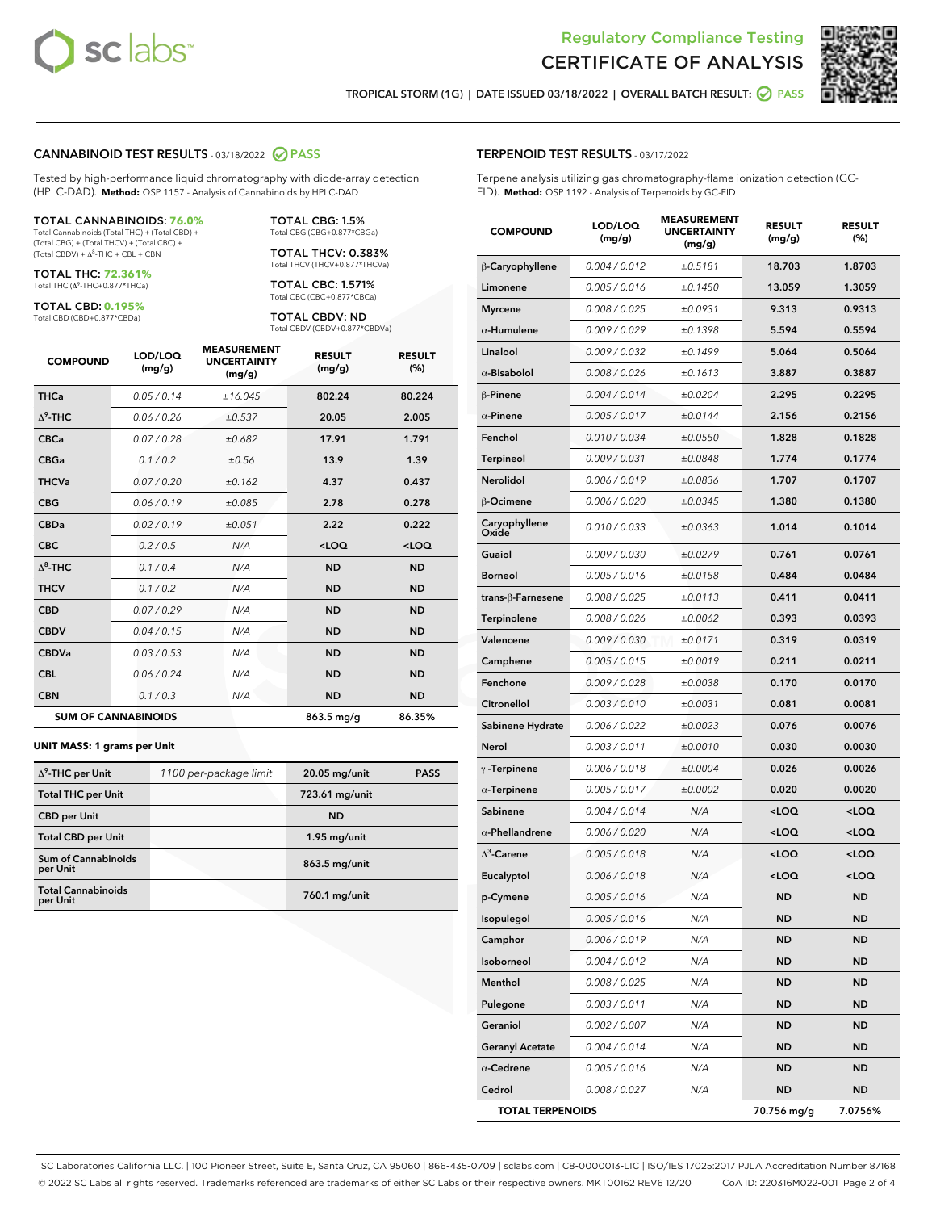



TROPICAL STORM (1G) | DATE ISSUED 03/18/2022 | OVERALL BATCH RESULT: **● PASS** 

#### CANNABINOID TEST RESULTS - 03/18/2022 2 PASS

Tested by high-performance liquid chromatography with diode-array detection (HPLC-DAD). **Method:** QSP 1157 - Analysis of Cannabinoids by HPLC-DAD

#### TOTAL CANNABINOIDS: **76.0%**

Total Cannabinoids (Total THC) + (Total CBD) + (Total CBG) + (Total THCV) + (Total CBC) +  $(Total$  CBDV) +  $\Delta$ <sup>8</sup>-THC + CBL + CBN

TOTAL THC: **72.361%** Total THC (Δ<sup>9</sup> -THC+0.877\*THCa)

TOTAL CBD: **0.195%**

Total CBD (CBD+0.877\*CBDa)

TOTAL CBG: 1.5% Total CBG (CBG+0.877\*CBGa)

TOTAL THCV: 0.383% Total THCV (THCV+0.877\*THCVa)

TOTAL CBC: 1.571% Total CBC (CBC+0.877\*CBCa)

TOTAL CBDV: ND Total CBDV (CBDV+0.877\*CBDVa)

| <b>COMPOUND</b>  | LOD/LOO<br>(mg/g)          | <b>MEASUREMENT</b><br><b>UNCERTAINTY</b><br>(mg/g) | <b>RESULT</b><br>(mg/g) | <b>RESULT</b><br>(%) |
|------------------|----------------------------|----------------------------------------------------|-------------------------|----------------------|
| <b>THCa</b>      | 0.05/0.14                  | ±16.045                                            | 802.24                  | 80.224               |
| $\Lambda^9$ -THC | 0.06 / 0.26                | ±0.537                                             | 20.05                   | 2.005                |
| <b>CBCa</b>      | 0.07 / 0.28                | ±0.682                                             | 17.91                   | 1.791                |
| <b>CBGa</b>      | 0.1/0.2                    | ±0.56                                              | 13.9                    | 1.39                 |
| <b>THCVa</b>     | 0.07/0.20                  | ±0.162                                             | 4.37                    | 0.437                |
| <b>CBG</b>       | 0.06/0.19                  | ±0.085                                             | 2.78                    | 0.278                |
| <b>CBDa</b>      | 0.02/0.19                  | ±0.051                                             | 2.22                    | 0.222                |
| <b>CBC</b>       | 0.2 / 0.5                  | N/A                                                | $<$ LOQ                 | $<$ LOQ              |
| $\Lambda^8$ -THC | 0.1/0.4                    | N/A                                                | <b>ND</b>               | <b>ND</b>            |
| <b>THCV</b>      | 0.1 / 0.2                  | N/A                                                | <b>ND</b>               | <b>ND</b>            |
| <b>CBD</b>       | 0.07/0.29                  | N/A                                                | <b>ND</b>               | <b>ND</b>            |
| <b>CBDV</b>      | 0.04 / 0.15                | N/A                                                | <b>ND</b>               | <b>ND</b>            |
| <b>CBDVa</b>     | 0.03/0.53                  | N/A                                                | <b>ND</b>               | <b>ND</b>            |
| <b>CBL</b>       | 0.06 / 0.24                | N/A                                                | <b>ND</b>               | <b>ND</b>            |
| <b>CBN</b>       | 0.1/0.3                    | N/A                                                | <b>ND</b>               | <b>ND</b>            |
|                  | <b>SUM OF CANNABINOIDS</b> |                                                    | 863.5 mg/g              | 86.35%               |

#### **UNIT MASS: 1 grams per Unit**

| $\Delta^9$ -THC per Unit              | 1100 per-package limit | $20.05$ mg/unit | <b>PASS</b> |
|---------------------------------------|------------------------|-----------------|-------------|
| <b>Total THC per Unit</b>             |                        | 723.61 mg/unit  |             |
| <b>CBD per Unit</b>                   |                        | <b>ND</b>       |             |
| <b>Total CBD per Unit</b>             |                        | $1.95$ mg/unit  |             |
| Sum of Cannabinoids<br>per Unit       |                        | $863.5$ mg/unit |             |
| <b>Total Cannabinoids</b><br>per Unit |                        | 760.1 mg/unit   |             |

| <b>COMPOUND</b>         | LOD/LOQ<br>(mg/g) | <b>MEASUREMENT</b><br><b>UNCERTAINTY</b><br>(mg/g) | <b>RESULT</b><br>(mg/g)                         | <b>RESULT</b><br>(%) |
|-------------------------|-------------------|----------------------------------------------------|-------------------------------------------------|----------------------|
| β-Caryophyllene         | 0.004 / 0.012     | ±0.5181                                            | 18.703                                          | 1.8703               |
| Limonene                | 0.005 / 0.016     | ±0.1450                                            | 13.059                                          | 1.3059               |
| <b>Myrcene</b>          | 0.008 / 0.025     | ±0.0931                                            | 9.313                                           | 0.9313               |
| $\alpha$ -Humulene      | 0.009 / 0.029     | ±0.1398                                            | 5.594                                           | 0.5594               |
| Linalool                | 0.009 / 0.032     | ±0.1499                                            | 5.064                                           | 0.5064               |
| $\alpha$ -Bisabolol     | 0.008 / 0.026     | ±0.1613                                            | 3.887                                           | 0.3887               |
| β-Pinene                | 0.004 / 0.014     | ±0.0204                                            | 2.295                                           | 0.2295               |
| $\alpha$ -Pinene        | 0.005 / 0.017     | ±0.0144                                            | 2.156                                           | 0.2156               |
| Fenchol                 | 0.010 / 0.034     | ±0.0550                                            | 1.828                                           | 0.1828               |
| <b>Terpineol</b>        | 0.009 / 0.031     | ±0.0848                                            | 1.774                                           | 0.1774               |
| Nerolidol               | 0.006 / 0.019     | ±0.0836                                            | 1.707                                           | 0.1707               |
| β-Ocimene               | 0.006 / 0.020     | ±0.0345                                            | 1.380                                           | 0.1380               |
| Caryophyllene<br>Oxide  | 0.010 / 0.033     | ±0.0363                                            | 1.014                                           | 0.1014               |
| Guaiol                  | 0.009 / 0.030     | ±0.0279                                            | 0.761                                           | 0.0761               |
| <b>Borneol</b>          | 0.005 / 0.016     | ±0.0158                                            | 0.484                                           | 0.0484               |
| trans-β-Farnesene       | 0.008 / 0.025     | ±0.0113                                            | 0.411                                           | 0.0411               |
| Terpinolene             | 0.008 / 0.026     | ±0.0062                                            | 0.393                                           | 0.0393               |
| Valencene               | 0.009 / 0.030     | ±0.0171                                            | 0.319                                           | 0.0319               |
| Camphene                | 0.005 / 0.015     | ±0.0019                                            | 0.211                                           | 0.0211               |
| Fenchone                | 0.009 / 0.028     | ±0.0038                                            | 0.170                                           | 0.0170               |
| Citronellol             | 0.003 / 0.010     | ±0.0031                                            | 0.081                                           | 0.0081               |
| Sabinene Hydrate        | 0.006 / 0.022     | ±0.0023                                            | 0.076                                           | 0.0076               |
| Nerol                   | 0.003 / 0.011     | ±0.0010                                            | 0.030                                           | 0.0030               |
| $\gamma$ -Terpinene     | 0.006 / 0.018     | ±0.0004                                            | 0.026                                           | 0.0026               |
| $\alpha$ -Terpinene     | 0.005 / 0.017     | ±0.0002                                            | 0.020                                           | 0.0020               |
| Sabinene                | 0.004 / 0.014     | N/A                                                | <loq< th=""><th><loq< th=""></loq<></th></loq<> | <loq< th=""></loq<>  |
| $\alpha$ -Phellandrene  | 0.006 / 0.020     | N/A                                                | <loq< th=""><th><loq< th=""></loq<></th></loq<> | <loq< th=""></loq<>  |
| $\Delta^3$ -Carene      | 0.005 / 0.018     | N/A                                                | <loq< th=""><th><loq< th=""></loq<></th></loq<> | <loq< th=""></loq<>  |
| Eucalyptol              | 0.006 / 0.018     | N/A                                                | <loq< th=""><th><loq< th=""></loq<></th></loq<> | <loq< th=""></loq<>  |
| p-Cymene                | 0.005 / 0.016     | N/A                                                | <b>ND</b>                                       | <b>ND</b>            |
| Isopulegol              | 0.005 / 0.016     | N/A                                                | ND                                              | ND                   |
| Camphor                 | 0.006 / 0.019     | N/A                                                | <b>ND</b>                                       | ND                   |
| Isoborneol              | 0.004 / 0.012     | N/A                                                | ND                                              | ND                   |
| Menthol                 | 0.008 / 0.025     | N/A                                                | ND                                              | ND                   |
| Pulegone                | 0.003 / 0.011     | N/A                                                | ND                                              | ND                   |
| Geraniol                | 0.002 / 0.007     | N/A                                                | ND                                              | ND                   |
| <b>Geranyl Acetate</b>  | 0.004 / 0.014     | N/A                                                | ND                                              | ND                   |
| $\alpha$ -Cedrene       | 0.005 / 0.016     | N/A                                                | ND                                              | ND                   |
| Cedrol                  | 0.008 / 0.027     | N/A                                                | ND                                              | ND                   |
| <b>TOTAL TERPENOIDS</b> |                   |                                                    | 70.756 mg/g                                     | 7.0756%              |

SC Laboratories California LLC. | 100 Pioneer Street, Suite E, Santa Cruz, CA 95060 | 866-435-0709 | sclabs.com | C8-0000013-LIC | ISO/IES 17025:2017 PJLA Accreditation Number 87168 © 2022 SC Labs all rights reserved. Trademarks referenced are trademarks of either SC Labs or their respective owners. MKT00162 REV6 12/20 CoA ID: 220316M022-001 Page 2 of 4

# TERPENOID TEST RESULTS - 03/17/2022

Terpene analysis utilizing gas chromatography-flame ionization detection (GC-FID). **Method:** QSP 1192 - Analysis of Terpenoids by GC-FID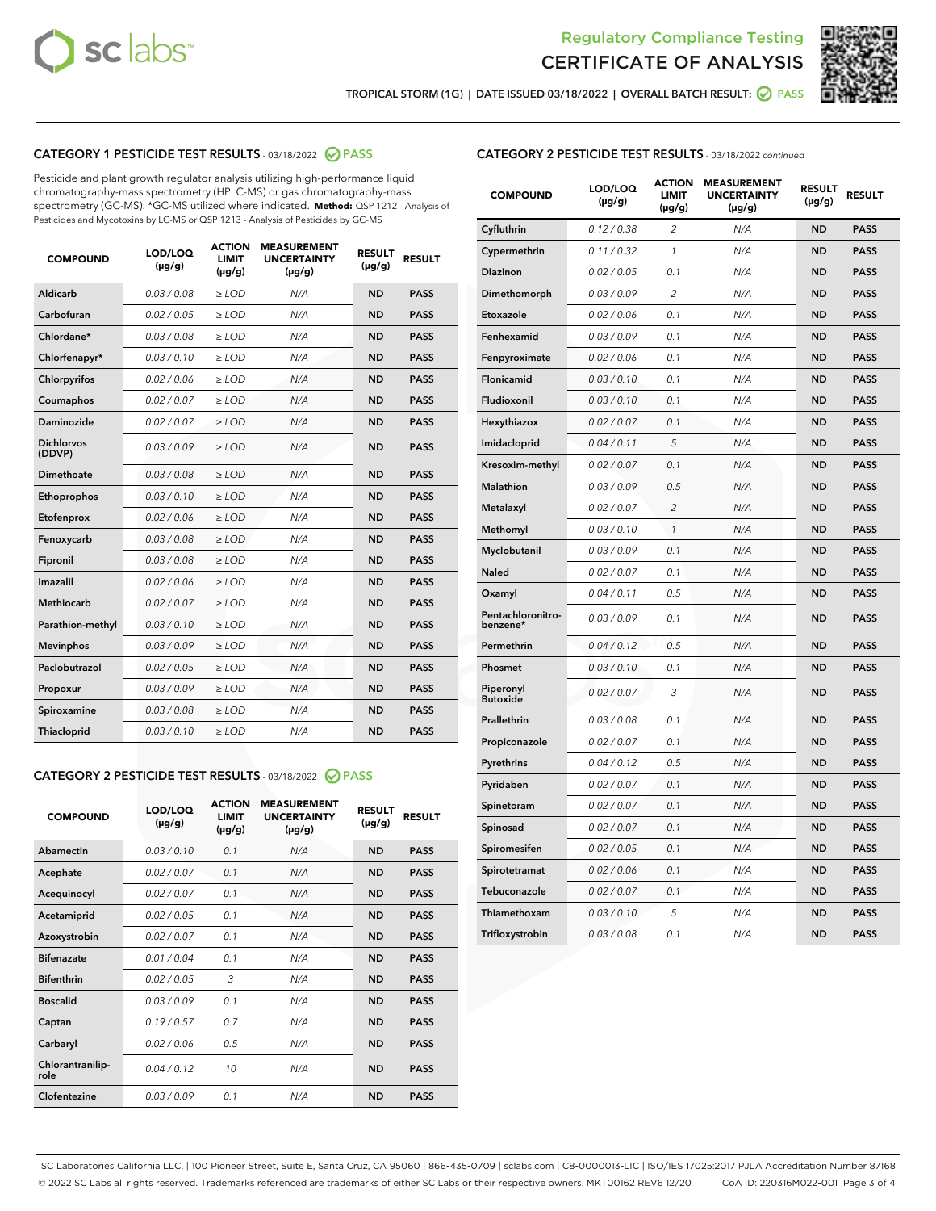



TROPICAL STORM (1G) | DATE ISSUED 03/18/2022 | OVERALL BATCH RESULT: @ PASS

# CATEGORY 1 PESTICIDE TEST RESULTS - 03/18/2022 2 PASS

Pesticide and plant growth regulator analysis utilizing high-performance liquid chromatography-mass spectrometry (HPLC-MS) or gas chromatography-mass spectrometry (GC-MS). \*GC-MS utilized where indicated. **Method:** QSP 1212 - Analysis of Pesticides and Mycotoxins by LC-MS or QSP 1213 - Analysis of Pesticides by GC-MS

| <b>COMPOUND</b>             | LOD/LOQ<br>$(\mu g/g)$ | <b>ACTION</b><br>LIMIT<br>$(\mu g/g)$ | <b>MEASUREMENT</b><br><b>UNCERTAINTY</b><br>$(\mu g/g)$ | <b>RESULT</b><br>$(\mu g/g)$ | <b>RESULT</b> |
|-----------------------------|------------------------|---------------------------------------|---------------------------------------------------------|------------------------------|---------------|
| <b>Aldicarb</b>             | 0.03 / 0.08            | $\geq$ LOD                            | N/A                                                     | <b>ND</b>                    | <b>PASS</b>   |
| Carbofuran                  | 0.02 / 0.05            | $\ge$ LOD                             | N/A                                                     | <b>ND</b>                    | <b>PASS</b>   |
| Chlordane*                  | 0.03/0.08              | $>$ LOD                               | N/A                                                     | <b>ND</b>                    | <b>PASS</b>   |
| Chlorfenapyr*               | 0.03/0.10              | ≥ LOD                                 | N/A                                                     | <b>ND</b>                    | <b>PASS</b>   |
| Chlorpyrifos                | 0.02/0.06              | $>$ LOD                               | N/A                                                     | <b>ND</b>                    | <b>PASS</b>   |
| Coumaphos                   | 0.02 / 0.07            | $\ge$ LOD                             | N/A                                                     | <b>ND</b>                    | <b>PASS</b>   |
| Daminozide                  | 0.02 / 0.07            | ≥ LOD                                 | N/A                                                     | <b>ND</b>                    | <b>PASS</b>   |
| <b>Dichlorvos</b><br>(DDVP) | 0.03/0.09              | > LOD                                 | N/A                                                     | <b>ND</b>                    | <b>PASS</b>   |
| Dimethoate                  | 0.03 / 0.08            | $>$ LOD                               | N/A                                                     | <b>ND</b>                    | <b>PASS</b>   |
| Ethoprophos                 | 0.03/0.10              | $>$ LOD                               | N/A                                                     | <b>ND</b>                    | <b>PASS</b>   |
| Etofenprox                  | 0.02 / 0.06            | $\geq$ LOD                            | N/A                                                     | <b>ND</b>                    | <b>PASS</b>   |
| Fenoxycarb                  | 0.03/0.08              | $>$ LOD                               | N/A                                                     | <b>ND</b>                    | <b>PASS</b>   |
| Fipronil                    | 0.03 / 0.08            | $\ge$ LOD                             | N/A                                                     | <b>ND</b>                    | <b>PASS</b>   |
| Imazalil                    | 0.02 / 0.06            | $\geq$ LOD                            | N/A                                                     | <b>ND</b>                    | <b>PASS</b>   |
| <b>Methiocarb</b>           | 0.02 / 0.07            | $\ge$ LOD                             | N/A                                                     | <b>ND</b>                    | <b>PASS</b>   |
| Parathion-methyl            | 0.03/0.10              | $>$ LOD                               | N/A                                                     | <b>ND</b>                    | <b>PASS</b>   |
| <b>Mevinphos</b>            | 0.03/0.09              | $\ge$ LOD                             | N/A                                                     | <b>ND</b>                    | <b>PASS</b>   |
| Paclobutrazol               | 0.02 / 0.05            | $\ge$ LOD                             | N/A                                                     | <b>ND</b>                    | <b>PASS</b>   |
| Propoxur                    | 0.03/0.09              | $\geq$ LOD                            | N/A                                                     | <b>ND</b>                    | <b>PASS</b>   |
| Spiroxamine                 | 0.03 / 0.08            | $\ge$ LOD                             | N/A                                                     | <b>ND</b>                    | <b>PASS</b>   |
| Thiacloprid                 | 0.03/0.10              | $\geq$ LOD                            | N/A                                                     | <b>ND</b>                    | <b>PASS</b>   |

## CATEGORY 2 PESTICIDE TEST RESULTS - 03/18/2022 @ PASS

| <b>COMPOUND</b>          | LOD/LOO<br>$(\mu g/g)$ | <b>ACTION</b><br><b>LIMIT</b><br>(µg/g) | <b>MEASUREMENT</b><br><b>UNCERTAINTY</b><br>$(\mu g/g)$ | <b>RESULT</b><br>$(\mu g/g)$ | <b>RESULT</b> |  |
|--------------------------|------------------------|-----------------------------------------|---------------------------------------------------------|------------------------------|---------------|--|
| Abamectin                | 0.03/0.10              | 0.1                                     | N/A                                                     | <b>ND</b>                    | <b>PASS</b>   |  |
| Acephate                 | 0.02/0.07              | 0.1                                     | N/A                                                     | <b>ND</b>                    | <b>PASS</b>   |  |
| Acequinocyl              | 0.02/0.07              | 0.1                                     | N/A                                                     | <b>ND</b>                    | <b>PASS</b>   |  |
| Acetamiprid              | 0.02/0.05              | 0.1                                     | N/A                                                     | <b>ND</b>                    | <b>PASS</b>   |  |
| Azoxystrobin             | 0.02/0.07              | 0.1                                     | N/A                                                     | <b>ND</b>                    | <b>PASS</b>   |  |
| <b>Bifenazate</b>        | 0.01/0.04              | 0.1                                     | N/A                                                     | <b>ND</b>                    | <b>PASS</b>   |  |
| <b>Bifenthrin</b>        | 0.02/0.05              | 3                                       | N/A                                                     | <b>ND</b>                    | <b>PASS</b>   |  |
| <b>Boscalid</b>          | 0.03/0.09              | 0.1                                     | N/A                                                     | <b>ND</b>                    | <b>PASS</b>   |  |
| Captan                   | 0.19/0.57              | 0.7                                     | N/A                                                     | <b>ND</b>                    | <b>PASS</b>   |  |
| Carbaryl                 | 0.02/0.06              | 0.5                                     | N/A                                                     | <b>ND</b>                    | <b>PASS</b>   |  |
| Chlorantranilip-<br>role | 0.04/0.12              | 10                                      | N/A                                                     | <b>ND</b>                    | <b>PASS</b>   |  |
| Clofentezine             | 0.03/0.09              | 0.1                                     | N/A                                                     | <b>ND</b>                    | <b>PASS</b>   |  |

## CATEGORY 2 PESTICIDE TEST RESULTS - 03/18/2022 continued

| <b>COMPOUND</b>               | LOD/LOQ<br>(µg/g) | <b>ACTION</b><br><b>LIMIT</b><br>$(\mu g/g)$ | <b>MEASUREMENT</b><br><b>UNCERTAINTY</b><br>$(\mu g/g)$ | <b>RESULT</b><br>(µg/g) | <b>RESULT</b> |
|-------------------------------|-------------------|----------------------------------------------|---------------------------------------------------------|-------------------------|---------------|
| Cyfluthrin                    | 0.12 / 0.38       | $\overline{c}$                               | N/A                                                     | <b>ND</b>               | <b>PASS</b>   |
| Cypermethrin                  | 0.11 / 0.32       | $\mathcal{I}$                                | N/A                                                     | <b>ND</b>               | <b>PASS</b>   |
| <b>Diazinon</b>               | 0.02 / 0.05       | 0.1                                          | N/A                                                     | <b>ND</b>               | <b>PASS</b>   |
| Dimethomorph                  | 0.03 / 0.09       | 2                                            | N/A                                                     | <b>ND</b>               | <b>PASS</b>   |
| Etoxazole                     | 0.02 / 0.06       | 0.1                                          | N/A                                                     | <b>ND</b>               | <b>PASS</b>   |
| Fenhexamid                    | 0.03 / 0.09       | 0.1                                          | N/A                                                     | <b>ND</b>               | <b>PASS</b>   |
| Fenpyroximate                 | 0.02 / 0.06       | 0.1                                          | N/A                                                     | <b>ND</b>               | <b>PASS</b>   |
| Flonicamid                    | 0.03 / 0.10       | 0.1                                          | N/A                                                     | ND                      | <b>PASS</b>   |
| Fludioxonil                   | 0.03 / 0.10       | 0.1                                          | N/A                                                     | <b>ND</b>               | <b>PASS</b>   |
| Hexythiazox                   | 0.02 / 0.07       | 0.1                                          | N/A                                                     | <b>ND</b>               | <b>PASS</b>   |
| Imidacloprid                  | 0.04 / 0.11       | 5                                            | N/A                                                     | <b>ND</b>               | <b>PASS</b>   |
| Kresoxim-methyl               | 0.02 / 0.07       | 0.1                                          | N/A                                                     | <b>ND</b>               | <b>PASS</b>   |
| <b>Malathion</b>              | 0.03 / 0.09       | 0.5                                          | N/A                                                     | <b>ND</b>               | <b>PASS</b>   |
| Metalaxyl                     | 0.02 / 0.07       | $\overline{c}$                               | N/A                                                     | <b>ND</b>               | <b>PASS</b>   |
| Methomyl                      | 0.03 / 0.10       | 1                                            | N/A                                                     | <b>ND</b>               | <b>PASS</b>   |
| Myclobutanil                  | 0.03 / 0.09       | 0.1                                          | N/A                                                     | <b>ND</b>               | <b>PASS</b>   |
| Naled                         | 0.02 / 0.07       | 0.1                                          | N/A                                                     | ND                      | <b>PASS</b>   |
| Oxamyl                        | 0.04 / 0.11       | 0.5                                          | N/A                                                     | ND                      | <b>PASS</b>   |
| Pentachloronitro-<br>benzene* | 0.03/0.09         | 0.1                                          | N/A                                                     | <b>ND</b>               | <b>PASS</b>   |
| Permethrin                    | 0.04 / 0.12       | 0.5                                          | N/A                                                     | <b>ND</b>               | <b>PASS</b>   |
| Phosmet                       | 0.03 / 0.10       | 0.1                                          | N/A                                                     | <b>ND</b>               | <b>PASS</b>   |
| Piperonyl<br><b>Butoxide</b>  | 0.02 / 0.07       | 3                                            | N/A                                                     | <b>ND</b>               | <b>PASS</b>   |
| Prallethrin                   | 0.03 / 0.08       | 0.1                                          | N/A                                                     | <b>ND</b>               | <b>PASS</b>   |
| Propiconazole                 | 0.02 / 0.07       | 0.1                                          | N/A                                                     | ND                      | <b>PASS</b>   |
| Pyrethrins                    | 0.04 / 0.12       | 0.5                                          | N/A                                                     | <b>ND</b>               | <b>PASS</b>   |
| Pyridaben                     | 0.02 / 0.07       | 0.1                                          | N/A                                                     | <b>ND</b>               | <b>PASS</b>   |
| Spinetoram                    | 0.02 / 0.07       | 0.1                                          | N/A                                                     | <b>ND</b>               | <b>PASS</b>   |
| Spinosad                      | 0.02 / 0.07       | 0.1                                          | N/A                                                     | <b>ND</b>               | <b>PASS</b>   |
| Spiromesifen                  | 0.02 / 0.05       | 0.1                                          | N/A                                                     | <b>ND</b>               | <b>PASS</b>   |
| Spirotetramat                 | 0.02 / 0.06       | 0.1                                          | N/A                                                     | <b>ND</b>               | <b>PASS</b>   |
| Tebuconazole                  | 0.02 / 0.07       | 0.1                                          | N/A                                                     | ND                      | <b>PASS</b>   |
| Thiamethoxam                  | 0.03 / 0.10       | 5                                            | N/A                                                     | <b>ND</b>               | <b>PASS</b>   |
| Trifloxystrobin               | 0.03 / 0.08       | 0.1                                          | N/A                                                     | <b>ND</b>               | <b>PASS</b>   |

SC Laboratories California LLC. | 100 Pioneer Street, Suite E, Santa Cruz, CA 95060 | 866-435-0709 | sclabs.com | C8-0000013-LIC | ISO/IES 17025:2017 PJLA Accreditation Number 87168 © 2022 SC Labs all rights reserved. Trademarks referenced are trademarks of either SC Labs or their respective owners. MKT00162 REV6 12/20 CoA ID: 220316M022-001 Page 3 of 4